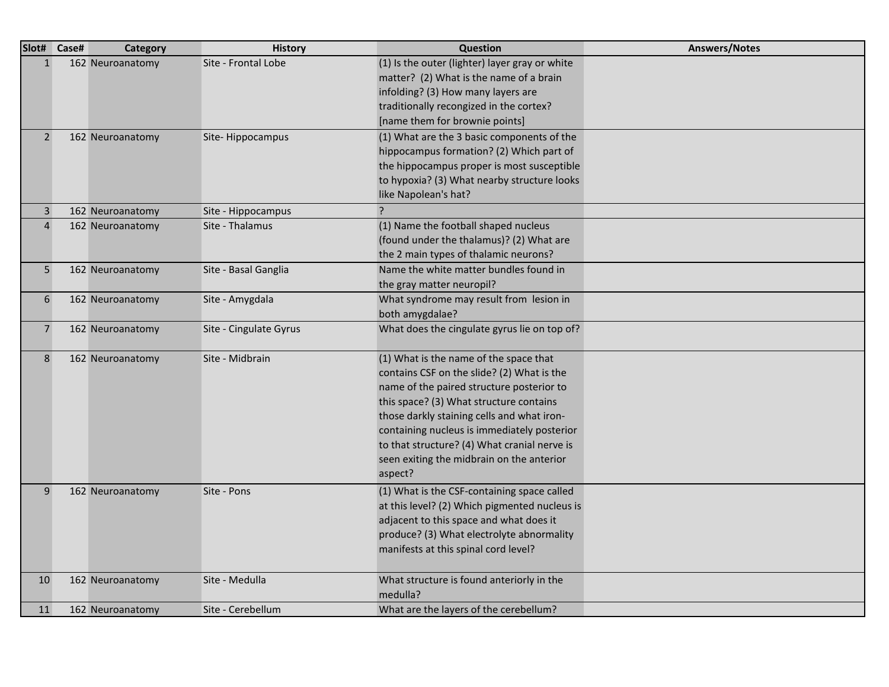| Slot# Case#    | <b>Category</b>  | <b>History</b>         | Question                                                                                                                                                                                                                                                                                                                                                                          | <b>Answers/Notes</b> |
|----------------|------------------|------------------------|-----------------------------------------------------------------------------------------------------------------------------------------------------------------------------------------------------------------------------------------------------------------------------------------------------------------------------------------------------------------------------------|----------------------|
| $\mathbf{1}$   | 162 Neuroanatomy | Site - Frontal Lobe    | (1) Is the outer (lighter) layer gray or white<br>matter? (2) What is the name of a brain<br>infolding? (3) How many layers are<br>traditionally recongized in the cortex?<br>[name them for brownie points]                                                                                                                                                                      |                      |
| $\overline{2}$ | 162 Neuroanatomy | Site-Hippocampus       | (1) What are the 3 basic components of the<br>hippocampus formation? (2) Which part of<br>the hippocampus proper is most susceptible<br>to hypoxia? (3) What nearby structure looks<br>like Napolean's hat?                                                                                                                                                                       |                      |
| $\overline{3}$ | 162 Neuroanatomy | Site - Hippocampus     | ?                                                                                                                                                                                                                                                                                                                                                                                 |                      |
| $\overline{4}$ | 162 Neuroanatomy | Site - Thalamus        | (1) Name the football shaped nucleus<br>(found under the thalamus)? (2) What are<br>the 2 main types of thalamic neurons?                                                                                                                                                                                                                                                         |                      |
| 5 <sub>5</sub> | 162 Neuroanatomy | Site - Basal Ganglia   | Name the white matter bundles found in<br>the gray matter neuropil?                                                                                                                                                                                                                                                                                                               |                      |
| 6              | 162 Neuroanatomy | Site - Amygdala        | What syndrome may result from lesion in<br>both amygdalae?                                                                                                                                                                                                                                                                                                                        |                      |
| $\overline{7}$ | 162 Neuroanatomy | Site - Cingulate Gyrus | What does the cingulate gyrus lie on top of?                                                                                                                                                                                                                                                                                                                                      |                      |
| 8              | 162 Neuroanatomy | Site - Midbrain        | (1) What is the name of the space that<br>contains CSF on the slide? (2) What is the<br>name of the paired structure posterior to<br>this space? (3) What structure contains<br>those darkly staining cells and what iron-<br>containing nucleus is immediately posterior<br>to that structure? (4) What cranial nerve is<br>seen exiting the midbrain on the anterior<br>aspect? |                      |
| 9              | 162 Neuroanatomy | Site - Pons            | (1) What is the CSF-containing space called<br>at this level? (2) Which pigmented nucleus is<br>adjacent to this space and what does it<br>produce? (3) What electrolyte abnormality<br>manifests at this spinal cord level?                                                                                                                                                      |                      |
| 10             | 162 Neuroanatomy | Site - Medulla         | What structure is found anteriorly in the<br>medulla?                                                                                                                                                                                                                                                                                                                             |                      |
| 11             | 162 Neuroanatomy | Site - Cerebellum      | What are the layers of the cerebellum?                                                                                                                                                                                                                                                                                                                                            |                      |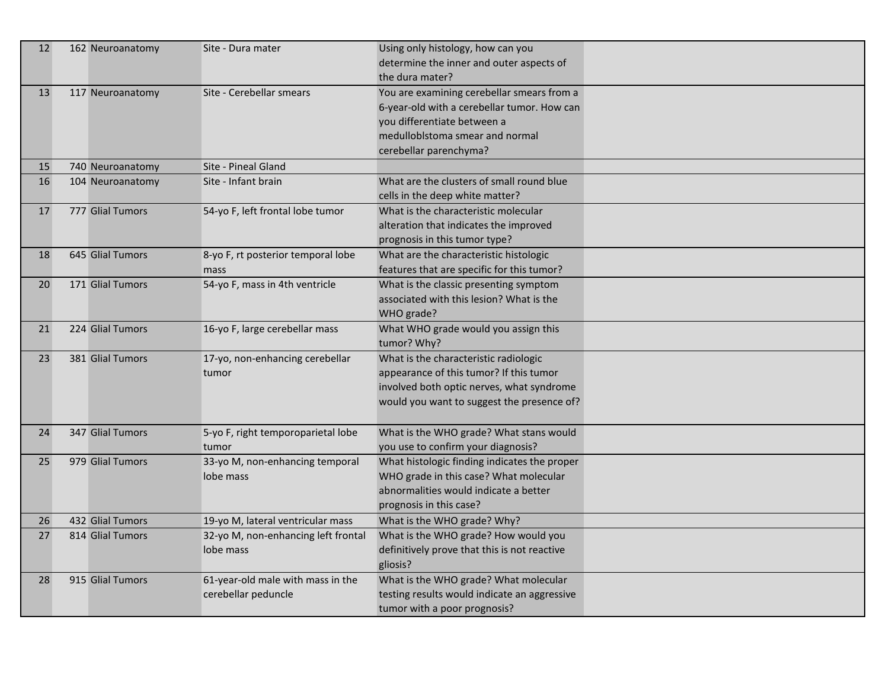| 12 | 162 Neuroanatomy | Site - Dura mater                                        | Using only histology, how can you<br>determine the inner and outer aspects of<br>the dura mater?                                                                                      |  |
|----|------------------|----------------------------------------------------------|---------------------------------------------------------------------------------------------------------------------------------------------------------------------------------------|--|
| 13 | 117 Neuroanatomy | Site - Cerebellar smears                                 | You are examining cerebellar smears from a<br>6-year-old with a cerebellar tumor. How can<br>you differentiate between a<br>medulloblstoma smear and normal<br>cerebellar parenchyma? |  |
| 15 | 740 Neuroanatomy | Site - Pineal Gland                                      |                                                                                                                                                                                       |  |
| 16 | 104 Neuroanatomy | Site - Infant brain                                      | What are the clusters of small round blue<br>cells in the deep white matter?                                                                                                          |  |
| 17 | 777 Glial Tumors | 54-yo F, left frontal lobe tumor                         | What is the characteristic molecular<br>alteration that indicates the improved<br>prognosis in this tumor type?                                                                       |  |
| 18 | 645 Glial Tumors | 8-yo F, rt posterior temporal lobe<br>mass               | What are the characteristic histologic<br>features that are specific for this tumor?                                                                                                  |  |
| 20 | 171 Glial Tumors | 54-yo F, mass in 4th ventricle                           | What is the classic presenting symptom<br>associated with this lesion? What is the<br>WHO grade?                                                                                      |  |
| 21 | 224 Glial Tumors | 16-yo F, large cerebellar mass                           | What WHO grade would you assign this<br>tumor? Why?                                                                                                                                   |  |
| 23 | 381 Glial Tumors | 17-yo, non-enhancing cerebellar<br>tumor                 | What is the characteristic radiologic<br>appearance of this tumor? If this tumor<br>involved both optic nerves, what syndrome<br>would you want to suggest the presence of?           |  |
| 24 | 347 Glial Tumors | 5-yo F, right temporoparietal lobe<br>tumor              | What is the WHO grade? What stans would<br>you use to confirm your diagnosis?                                                                                                         |  |
| 25 | 979 Glial Tumors | 33-yo M, non-enhancing temporal<br>lobe mass             | What histologic finding indicates the proper<br>WHO grade in this case? What molecular<br>abnormalities would indicate a better<br>prognosis in this case?                            |  |
| 26 | 432 Glial Tumors | 19-yo M, lateral ventricular mass                        | What is the WHO grade? Why?                                                                                                                                                           |  |
| 27 | 814 Glial Tumors | 32-yo M, non-enhancing left frontal<br>lobe mass         | What is the WHO grade? How would you<br>definitively prove that this is not reactive<br>gliosis?                                                                                      |  |
| 28 | 915 Glial Tumors | 61-year-old male with mass in the<br>cerebellar peduncle | What is the WHO grade? What molecular<br>testing results would indicate an aggressive<br>tumor with a poor prognosis?                                                                 |  |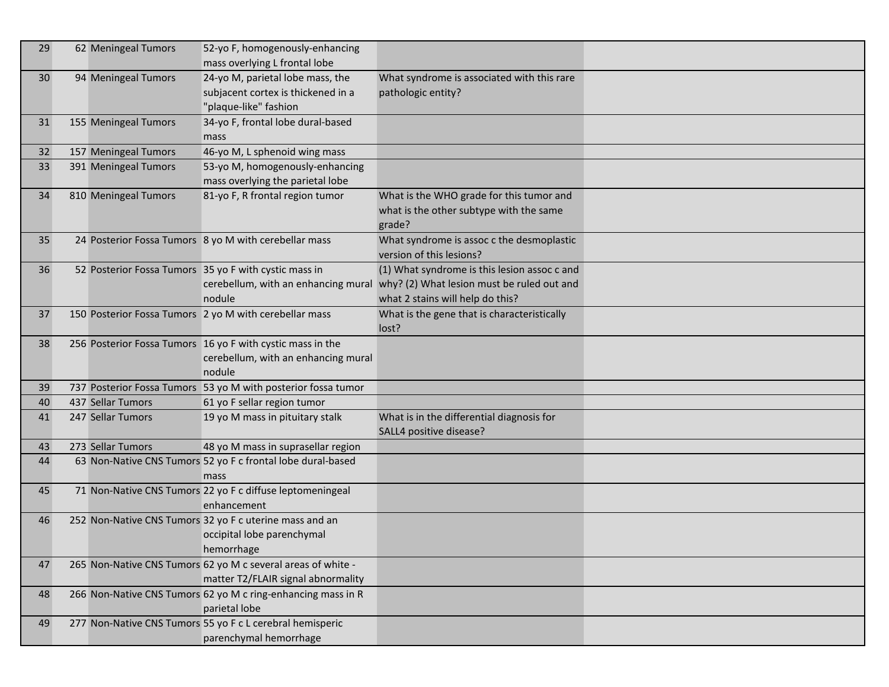| 29 | 62 Meningeal Tumors                                    | 52-yo F, homogenously-enhancing<br>mass overlying L frontal lobe                                            |                                                                                                                                |  |
|----|--------------------------------------------------------|-------------------------------------------------------------------------------------------------------------|--------------------------------------------------------------------------------------------------------------------------------|--|
| 30 | 94 Meningeal Tumors                                    | 24-yo M, parietal lobe mass, the<br>subjacent cortex is thickened in a<br>"plaque-like" fashion             | What syndrome is associated with this rare<br>pathologic entity?                                                               |  |
| 31 | 155 Meningeal Tumors                                   | 34-yo F, frontal lobe dural-based<br>mass                                                                   |                                                                                                                                |  |
| 32 | 157 Meningeal Tumors                                   | 46-yo M, L sphenoid wing mass                                                                               |                                                                                                                                |  |
| 33 | 391 Meningeal Tumors                                   | 53-yo M, homogenously-enhancing<br>mass overlying the parietal lobe                                         |                                                                                                                                |  |
| 34 | 810 Meningeal Tumors                                   | 81-yo F, R frontal region tumor                                                                             | What is the WHO grade for this tumor and<br>what is the other subtype with the same<br>grade?                                  |  |
| 35 |                                                        | 24 Posterior Fossa Tumors 8 yo M with cerebellar mass                                                       | What syndrome is assoc c the desmoplastic<br>version of this lesions?                                                          |  |
| 36 | 52 Posterior Fossa Tumors 35 yo F with cystic mass in  | cerebellum, with an enhancing mural<br>nodule                                                               | (1) What syndrome is this lesion assoc c and<br>why? (2) What lesion must be ruled out and<br>what 2 stains will help do this? |  |
| 37 | 150 Posterior Fossa Tumors 2 yo M with cerebellar mass |                                                                                                             | What is the gene that is characteristically<br>lost?                                                                           |  |
| 38 |                                                        | 256 Posterior Fossa Tumors 16 yo F with cystic mass in the<br>cerebellum, with an enhancing mural<br>nodule |                                                                                                                                |  |
| 39 |                                                        | 737 Posterior Fossa Tumors 53 yo M with posterior fossa tumor                                               |                                                                                                                                |  |
| 40 | 437 Sellar Tumors                                      | 61 yo F sellar region tumor                                                                                 |                                                                                                                                |  |
| 41 | 247 Sellar Tumors                                      | 19 yo M mass in pituitary stalk                                                                             | What is in the differential diagnosis for<br>SALL4 positive disease?                                                           |  |
| 43 | 273 Sellar Tumors                                      | 48 yo M mass in suprasellar region                                                                          |                                                                                                                                |  |
| 44 |                                                        | 63 Non-Native CNS Tumors 52 yo F c frontal lobe dural-based<br>mass                                         |                                                                                                                                |  |
| 45 |                                                        | 71 Non-Native CNS Tumors 22 yo F c diffuse leptomeningeal<br>enhancement                                    |                                                                                                                                |  |
| 46 |                                                        | 252 Non-Native CNS Tumors 32 yo F c uterine mass and an<br>occipital lobe parenchymal<br>hemorrhage         |                                                                                                                                |  |
| 47 |                                                        | 265 Non-Native CNS Tumors 62 yo M c several areas of white -<br>matter T2/FLAIR signal abnormality          |                                                                                                                                |  |
| 48 |                                                        | 266 Non-Native CNS Tumors 62 yo M c ring-enhancing mass in R<br>parietal lobe                               |                                                                                                                                |  |
| 49 |                                                        | 277 Non-Native CNS Tumors 55 yo F c L cerebral hemisperic<br>parenchymal hemorrhage                         |                                                                                                                                |  |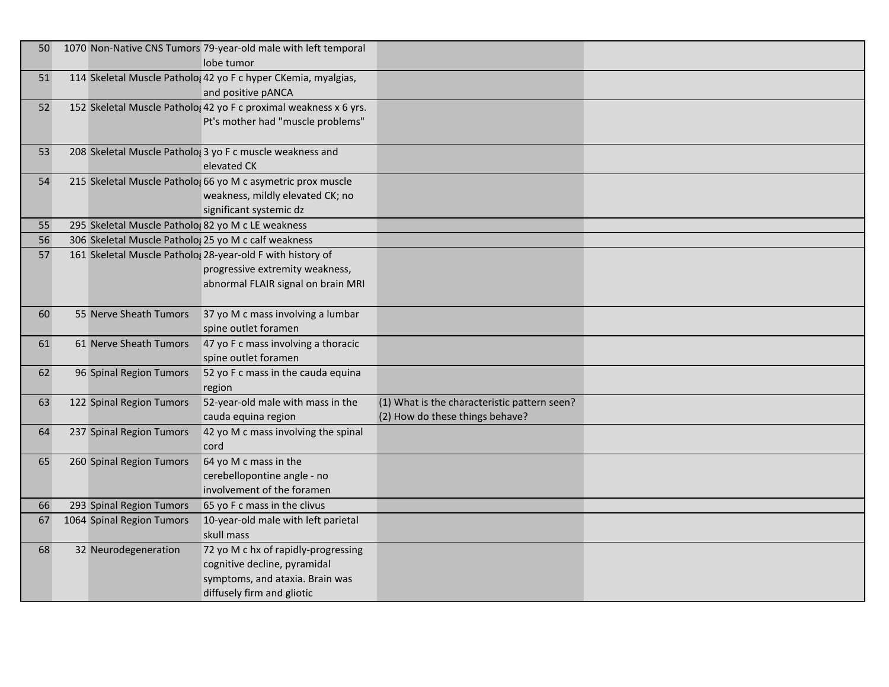| 50 <sup>°</sup> |                                                      | 1070 Non-Native CNS Tumors 79-year-old male with left temporal<br>lobe tumor                                                         |                                                                                 |  |
|-----------------|------------------------------------------------------|--------------------------------------------------------------------------------------------------------------------------------------|---------------------------------------------------------------------------------|--|
| 51              |                                                      | 114 Skeletal Muscle Patholo; 42 yo F c hyper CKemia, myalgias,<br>and positive pANCA                                                 |                                                                                 |  |
| 52              |                                                      | 152 Skeletal Muscle Patholo; 42 yo F c proximal weakness x 6 yrs.<br>Pt's mother had "muscle problems"                               |                                                                                 |  |
| 53              |                                                      | 208 Skeletal Muscle Patholo( 3 yo F c muscle weakness and<br>elevated CK                                                             |                                                                                 |  |
| 54              |                                                      | 215 Skeletal Muscle Patholo; 66 yo M c asymetric prox muscle<br>weakness, mildly elevated CK; no<br>significant systemic dz          |                                                                                 |  |
| 55              | 295 Skeletal Muscle Patholo; 82 yo M c LE weakness   |                                                                                                                                      |                                                                                 |  |
| 56              | 306 Skeletal Muscle Patholog 25 yo M c calf weakness |                                                                                                                                      |                                                                                 |  |
| 57              |                                                      | 161 Skeletal Muscle Patholo; 28-year-old F with history of<br>progressive extremity weakness,<br>abnormal FLAIR signal on brain MRI  |                                                                                 |  |
| 60              | 55 Nerve Sheath Tumors                               | 37 yo M c mass involving a lumbar<br>spine outlet foramen                                                                            |                                                                                 |  |
| 61              | 61 Nerve Sheath Tumors                               | 47 yo F c mass involving a thoracic<br>spine outlet foramen                                                                          |                                                                                 |  |
| 62              | 96 Spinal Region Tumors                              | 52 yo F c mass in the cauda equina<br>region                                                                                         |                                                                                 |  |
| 63              | 122 Spinal Region Tumors                             | 52-year-old male with mass in the<br>cauda equina region                                                                             | (1) What is the characteristic pattern seen?<br>(2) How do these things behave? |  |
| 64              | 237 Spinal Region Tumors                             | 42 yo M c mass involving the spinal<br>cord                                                                                          |                                                                                 |  |
| 65              | 260 Spinal Region Tumors                             | 64 yo M c mass in the<br>cerebellopontine angle - no<br>involvement of the foramen                                                   |                                                                                 |  |
| 66              | 293 Spinal Region Tumors                             | 65 yo F c mass in the clivus                                                                                                         |                                                                                 |  |
| 67              | 1064 Spinal Region Tumors                            | 10-year-old male with left parietal<br>skull mass                                                                                    |                                                                                 |  |
| 68              | 32 Neurodegeneration                                 | 72 yo M c hx of rapidly-progressing<br>cognitive decline, pyramidal<br>symptoms, and ataxia. Brain was<br>diffusely firm and gliotic |                                                                                 |  |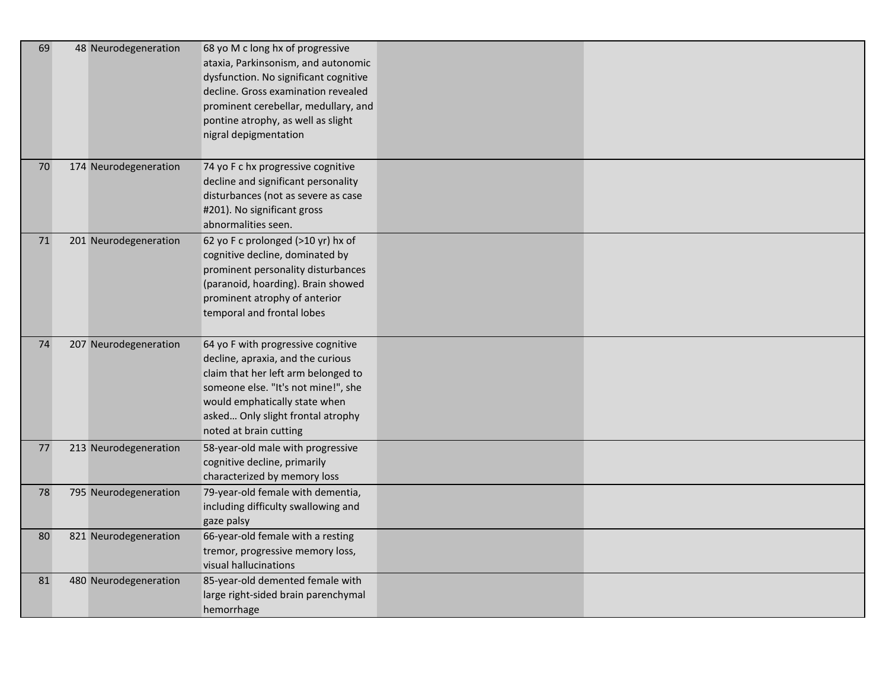| 69 | 48 Neurodegeneration  | 68 yo M c long hx of progressive<br>ataxia, Parkinsonism, and autonomic<br>dysfunction. No significant cognitive<br>decline. Gross examination revealed<br>prominent cerebellar, medullary, and<br>pontine atrophy, as well as slight<br>nigral depigmentation |  |
|----|-----------------------|----------------------------------------------------------------------------------------------------------------------------------------------------------------------------------------------------------------------------------------------------------------|--|
| 70 | 174 Neurodegeneration | 74 yo F c hx progressive cognitive<br>decline and significant personality<br>disturbances (not as severe as case<br>#201). No significant gross<br>abnormalities seen.                                                                                         |  |
| 71 | 201 Neurodegeneration | 62 yo F c prolonged (>10 yr) hx of<br>cognitive decline, dominated by<br>prominent personality disturbances<br>(paranoid, hoarding). Brain showed<br>prominent atrophy of anterior<br>temporal and frontal lobes                                               |  |
| 74 | 207 Neurodegeneration | 64 yo F with progressive cognitive<br>decline, apraxia, and the curious<br>claim that her left arm belonged to<br>someone else. "It's not mine!", she<br>would emphatically state when<br>asked Only slight frontal atrophy<br>noted at brain cutting          |  |
| 77 | 213 Neurodegeneration | 58-year-old male with progressive<br>cognitive decline, primarily<br>characterized by memory loss                                                                                                                                                              |  |
| 78 | 795 Neurodegeneration | 79-year-old female with dementia,<br>including difficulty swallowing and<br>gaze palsy                                                                                                                                                                         |  |
| 80 | 821 Neurodegeneration | 66-year-old female with a resting<br>tremor, progressive memory loss,<br>visual hallucinations                                                                                                                                                                 |  |
| 81 | 480 Neurodegeneration | 85-year-old demented female with<br>large right-sided brain parenchymal<br>hemorrhage                                                                                                                                                                          |  |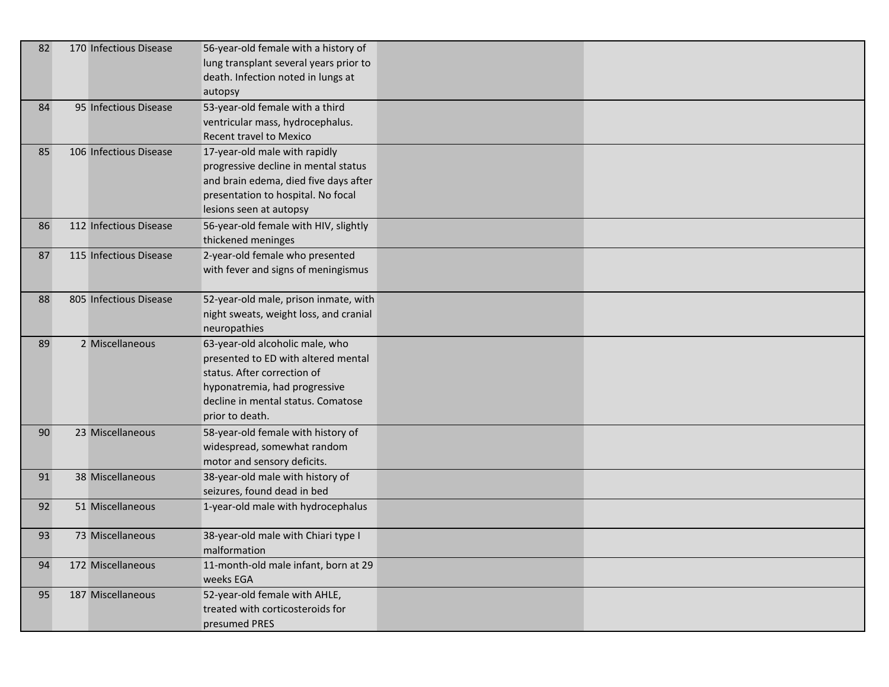| 82 | 170 Infectious Disease | 56-year-old female with a history of<br>lung transplant several years prior to<br>death. Infection noted in lungs at<br>autopsy                                                                 |
|----|------------------------|-------------------------------------------------------------------------------------------------------------------------------------------------------------------------------------------------|
| 84 | 95 Infectious Disease  | 53-year-old female with a third<br>ventricular mass, hydrocephalus.<br>Recent travel to Mexico                                                                                                  |
| 85 | 106 Infectious Disease | 17-year-old male with rapidly<br>progressive decline in mental status<br>and brain edema, died five days after<br>presentation to hospital. No focal<br>lesions seen at autopsy                 |
| 86 | 112 Infectious Disease | 56-year-old female with HIV, slightly<br>thickened meninges                                                                                                                                     |
| 87 | 115 Infectious Disease | 2-year-old female who presented<br>with fever and signs of meningismus                                                                                                                          |
| 88 | 805 Infectious Disease | 52-year-old male, prison inmate, with<br>night sweats, weight loss, and cranial<br>neuropathies                                                                                                 |
| 89 | 2 Miscellaneous        | 63-year-old alcoholic male, who<br>presented to ED with altered mental<br>status. After correction of<br>hyponatremia, had progressive<br>decline in mental status. Comatose<br>prior to death. |
| 90 | 23 Miscellaneous       | 58-year-old female with history of<br>widespread, somewhat random<br>motor and sensory deficits.                                                                                                |
| 91 | 38 Miscellaneous       | 38-year-old male with history of<br>seizures, found dead in bed                                                                                                                                 |
| 92 | 51 Miscellaneous       | 1-year-old male with hydrocephalus                                                                                                                                                              |
| 93 | 73 Miscellaneous       | 38-year-old male with Chiari type I<br>malformation                                                                                                                                             |
| 94 | 172 Miscellaneous      | 11-month-old male infant, born at 29<br>weeks EGA                                                                                                                                               |
| 95 | 187 Miscellaneous      | 52-year-old female with AHLE,<br>treated with corticosteroids for<br>presumed PRES                                                                                                              |